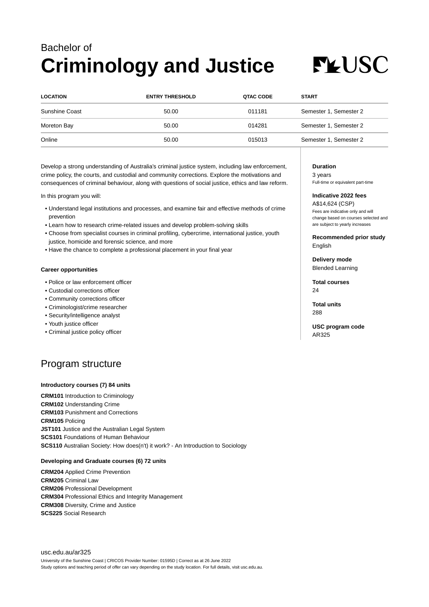## Bachelor of **Criminology and Justice**

# **FLUSC**

| <b>LOCATION</b> | <b>ENTRY THRESHOLD</b> | <b>QTAC CODE</b> | <b>START</b>           |
|-----------------|------------------------|------------------|------------------------|
| Sunshine Coast  | 50.00                  | 011181           | Semester 1, Semester 2 |
| Moreton Bay     | 50.00                  | 014281           | Semester 1, Semester 2 |
| Online          | 50.00                  | 015013           | Semester 1, Semester 2 |

Develop a strong understanding of Australia's criminal justice system, including law enforcement, crime policy, the courts, and custodial and community corrections. Explore the motivations and consequences of criminal behaviour, along with questions of social justice, ethics and law reform.

In this program you will:

- Understand legal institutions and processes, and examine fair and effective methods of crime prevention
- Learn how to research crime-related issues and develop problem-solving skills
- Choose from specialist courses in criminal profiling, cybercrime, international justice, youth justice, homicide and forensic science, and more
- Have the chance to complete a professional placement in your final year

#### **Career opportunities**

- Police or law enforcement officer
- Custodial corrections officer
- Community corrections officer
- Criminologist/crime researcher
- Security/intelligence analyst
- Youth justice officer
- Criminal justice policy officer

### Program structure

#### **Introductory courses (7) 84 units**

**CRM101** Introduction to Criminology **CRM102** Understanding Crime **CRM103** Punishment and Corrections **CRM105** Policing **JST101** Justice and the Australian Legal System **SCS101** Foundations of Human Behaviour **SCS110** Australian Society: How does(n't) it work? - An Introduction to Sociology

#### **Developing and Graduate courses (6) 72 units**

**CRM204** Applied Crime Prevention **CRM205** Criminal Law **CRM206** Professional Development **CRM304** Professional Ethics and Integrity Management **CRM308** Diversity, Crime and Justice **SCS225** Social Research

#### **Duration**

3 years Full-time or equivalent part-time

#### **Indicative 2022 fees**

A\$14,624 (CSP) Fees are indicative only and will change based on courses selected and are subject to yearly increases

**Recommended prior study** English

**Delivery mode** Blended Learning

**Total courses**  $24$ 

**Total units** 288

**USC program code** AR325